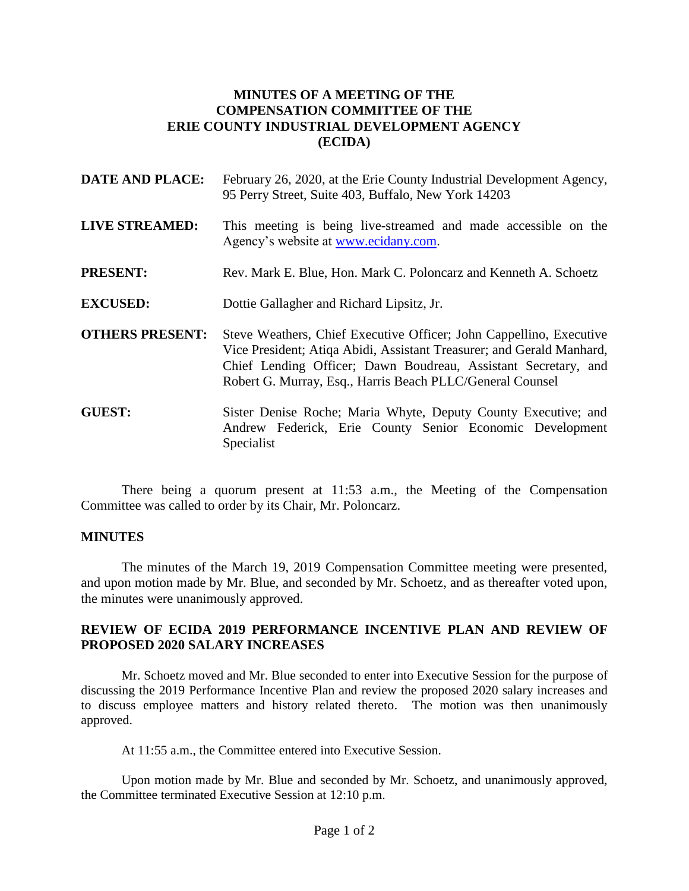## **MINUTES OF A MEETING OF THE COMPENSATION COMMITTEE OF THE ERIE COUNTY INDUSTRIAL DEVELOPMENT AGENCY (ECIDA)**

- **DATE AND PLACE:** February 26, 2020, at the Erie County Industrial Development Agency, 95 Perry Street, Suite 403, Buffalo, New York 14203
- **LIVE STREAMED:** This meeting is being live-streamed and made accessible on the Agency's website at [www.ecidany.com.](http://www.ecidany.com/)
- **PRESENT:** Rev. Mark E. Blue, Hon. Mark C. Poloncarz and Kenneth A. Schoetz
- **EXCUSED:** Dottie Gallagher and Richard Lipsitz, Jr.
- **OTHERS PRESENT:** Steve Weathers, Chief Executive Officer; John Cappellino, Executive Vice President; Atiqa Abidi, Assistant Treasurer; and Gerald Manhard, Chief Lending Officer; Dawn Boudreau, Assistant Secretary, and Robert G. Murray, Esq., Harris Beach PLLC/General Counsel
- **GUEST:** Sister Denise Roche; Maria Whyte, Deputy County Executive; and Andrew Federick, Erie County Senior Economic Development Specialist

There being a quorum present at 11:53 a.m., the Meeting of the Compensation Committee was called to order by its Chair, Mr. Poloncarz.

## **MINUTES**

The minutes of the March 19, 2019 Compensation Committee meeting were presented, and upon motion made by Mr. Blue, and seconded by Mr. Schoetz, and as thereafter voted upon, the minutes were unanimously approved.

## **REVIEW OF ECIDA 2019 PERFORMANCE INCENTIVE PLAN AND REVIEW OF PROPOSED 2020 SALARY INCREASES**

Mr. Schoetz moved and Mr. Blue seconded to enter into Executive Session for the purpose of discussing the 2019 Performance Incentive Plan and review the proposed 2020 salary increases and to discuss employee matters and history related thereto. The motion was then unanimously approved.

At 11:55 a.m., the Committee entered into Executive Session.

Upon motion made by Mr. Blue and seconded by Mr. Schoetz, and unanimously approved, the Committee terminated Executive Session at 12:10 p.m.